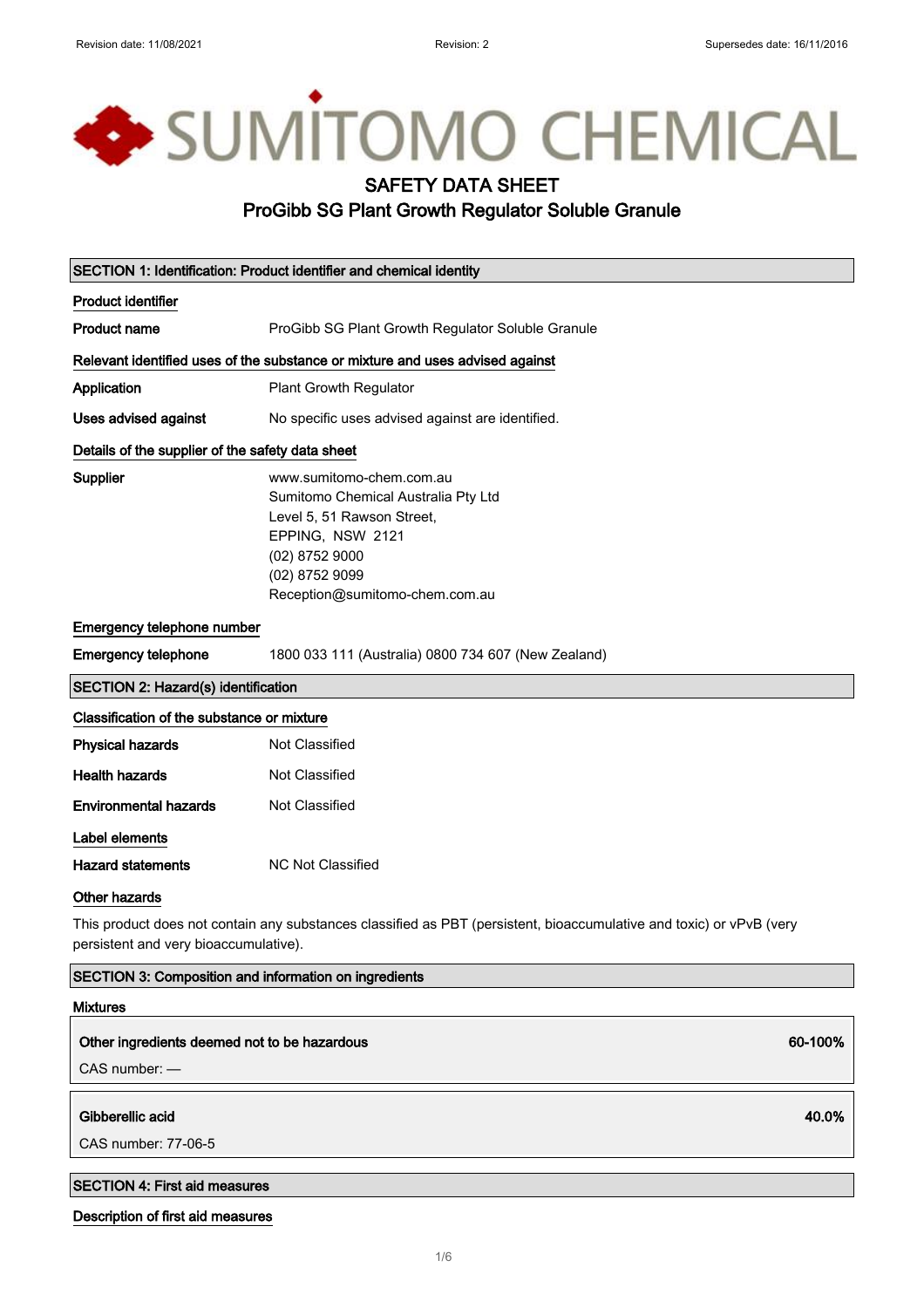# SUMITOMO CHEMICAL

### SAFETY DATA SHEET

#### ProGibb SG Plant Growth Regulator Soluble Granule

|                                                                                                                                                               | SECTION 1: Identification: Product identifier and chemical identity                                                                                                                     |  |
|---------------------------------------------------------------------------------------------------------------------------------------------------------------|-----------------------------------------------------------------------------------------------------------------------------------------------------------------------------------------|--|
| <b>Product identifier</b>                                                                                                                                     |                                                                                                                                                                                         |  |
| <b>Product name</b>                                                                                                                                           | ProGibb SG Plant Growth Regulator Soluble Granule                                                                                                                                       |  |
| Relevant identified uses of the substance or mixture and uses advised against                                                                                 |                                                                                                                                                                                         |  |
| Application                                                                                                                                                   | Plant Growth Regulator                                                                                                                                                                  |  |
| Uses advised against                                                                                                                                          | No specific uses advised against are identified.                                                                                                                                        |  |
| Details of the supplier of the safety data sheet                                                                                                              |                                                                                                                                                                                         |  |
| Supplier                                                                                                                                                      | www.sumitomo-chem.com.au<br>Sumitomo Chemical Australia Pty Ltd<br>Level 5, 51 Rawson Street,<br>EPPING, NSW 2121<br>(02) 8752 9000<br>(02) 8752 9099<br>Reception@sumitomo-chem.com.au |  |
| Emergency telephone number                                                                                                                                    |                                                                                                                                                                                         |  |
| <b>Emergency telephone</b>                                                                                                                                    | 1800 033 111 (Australia) 0800 734 607 (New Zealand)                                                                                                                                     |  |
| <b>SECTION 2: Hazard(s) identification</b>                                                                                                                    |                                                                                                                                                                                         |  |
| Classification of the substance or mixture                                                                                                                    |                                                                                                                                                                                         |  |
| <b>Physical hazards</b>                                                                                                                                       | Not Classified                                                                                                                                                                          |  |
| <b>Health hazards</b>                                                                                                                                         | Not Classified                                                                                                                                                                          |  |
| <b>Environmental hazards</b>                                                                                                                                  | Not Classified                                                                                                                                                                          |  |
| Label elements                                                                                                                                                |                                                                                                                                                                                         |  |
| <b>Hazard statements</b>                                                                                                                                      | <b>NC Not Classified</b>                                                                                                                                                                |  |
| <b>Other hazards</b>                                                                                                                                          |                                                                                                                                                                                         |  |
| This product does not contain any substances classified as PBT (persistent, bioaccumulative and toxic) or vPvB (very<br>persistent and very bioaccumulative). |                                                                                                                                                                                         |  |

#### SECTION 3: Composition and information on ingredients

## Mixtures

#### Other ingredients deemed not to be hazardous 60-100% and the state of the state of the state of the state of the state of the state of the state of the state of the state of the state of the state of the state of the state

CAS number: —

Gibberellic acid 40.0%

CAS number: 77-06-5

#### SECTION 4: First aid measures

#### Description of first aid measures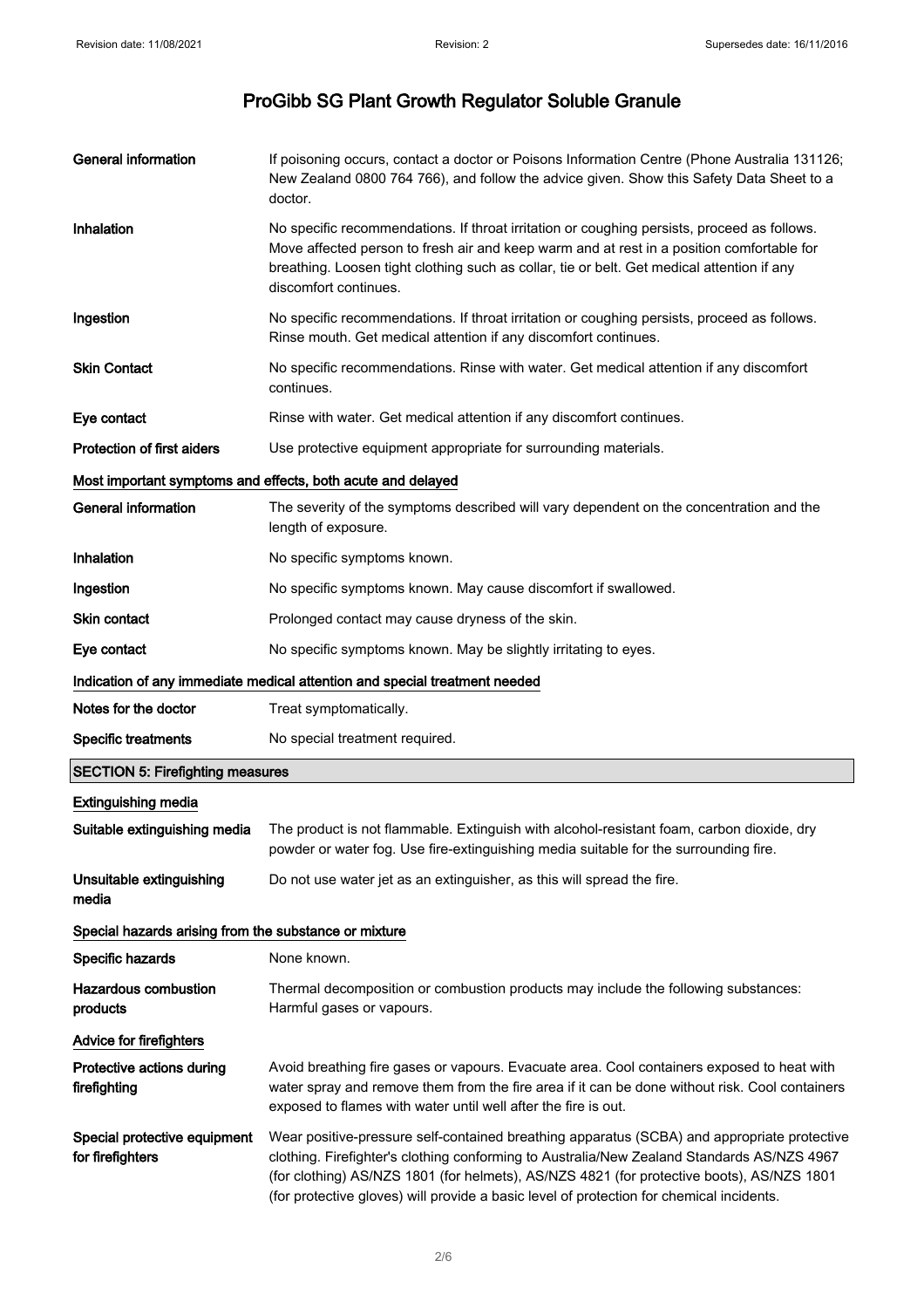| <b>General information</b>                            | If poisoning occurs, contact a doctor or Poisons Information Centre (Phone Australia 131126;<br>New Zealand 0800 764 766), and follow the advice given. Show this Safety Data Sheet to a<br>doctor.                                                                                                                                                                                |
|-------------------------------------------------------|------------------------------------------------------------------------------------------------------------------------------------------------------------------------------------------------------------------------------------------------------------------------------------------------------------------------------------------------------------------------------------|
| Inhalation                                            | No specific recommendations. If throat irritation or coughing persists, proceed as follows.<br>Move affected person to fresh air and keep warm and at rest in a position comfortable for<br>breathing. Loosen tight clothing such as collar, tie or belt. Get medical attention if any<br>discomfort continues.                                                                    |
| Ingestion                                             | No specific recommendations. If throat irritation or coughing persists, proceed as follows.<br>Rinse mouth. Get medical attention if any discomfort continues.                                                                                                                                                                                                                     |
| <b>Skin Contact</b>                                   | No specific recommendations. Rinse with water. Get medical attention if any discomfort<br>continues.                                                                                                                                                                                                                                                                               |
| Eye contact                                           | Rinse with water. Get medical attention if any discomfort continues.                                                                                                                                                                                                                                                                                                               |
| Protection of first aiders                            | Use protective equipment appropriate for surrounding materials.                                                                                                                                                                                                                                                                                                                    |
|                                                       | Most important symptoms and effects, both acute and delayed                                                                                                                                                                                                                                                                                                                        |
| <b>General information</b>                            | The severity of the symptoms described will vary dependent on the concentration and the<br>length of exposure.                                                                                                                                                                                                                                                                     |
| Inhalation                                            | No specific symptoms known.                                                                                                                                                                                                                                                                                                                                                        |
| Ingestion                                             | No specific symptoms known. May cause discomfort if swallowed.                                                                                                                                                                                                                                                                                                                     |
| Skin contact                                          | Prolonged contact may cause dryness of the skin.                                                                                                                                                                                                                                                                                                                                   |
| Eye contact                                           | No specific symptoms known. May be slightly irritating to eyes.                                                                                                                                                                                                                                                                                                                    |
|                                                       | Indication of any immediate medical attention and special treatment needed                                                                                                                                                                                                                                                                                                         |
| Notes for the doctor                                  | Treat symptomatically.                                                                                                                                                                                                                                                                                                                                                             |
| <b>Specific treatments</b>                            | No special treatment required.                                                                                                                                                                                                                                                                                                                                                     |
| <b>SECTION 5: Firefighting measures</b>               |                                                                                                                                                                                                                                                                                                                                                                                    |
| <b>Extinguishing media</b>                            |                                                                                                                                                                                                                                                                                                                                                                                    |
| Suitable extinguishing media                          | The product is not flammable. Extinguish with alcohol-resistant foam, carbon dioxide, dry<br>powder or water fog. Use fire-extinguishing media suitable for the surrounding fire.                                                                                                                                                                                                  |
| Unsuitable extinguishing<br>media                     | Do not use water jet as an extinguisher, as this will spread the fire.                                                                                                                                                                                                                                                                                                             |
| Special hazards arising from the substance or mixture |                                                                                                                                                                                                                                                                                                                                                                                    |
| Specific hazards                                      | None known.                                                                                                                                                                                                                                                                                                                                                                        |
| <b>Hazardous combustion</b><br>products               | Thermal decomposition or combustion products may include the following substances:<br>Harmful gases or vapours.                                                                                                                                                                                                                                                                    |
| <b>Advice for firefighters</b>                        |                                                                                                                                                                                                                                                                                                                                                                                    |
| Protective actions during<br>firefighting             | Avoid breathing fire gases or vapours. Evacuate area. Cool containers exposed to heat with<br>water spray and remove them from the fire area if it can be done without risk. Cool containers<br>exposed to flames with water until well after the fire is out.                                                                                                                     |
| Special protective equipment<br>for firefighters      | Wear positive-pressure self-contained breathing apparatus (SCBA) and appropriate protective<br>clothing. Firefighter's clothing conforming to Australia/New Zealand Standards AS/NZS 4967<br>(for clothing) AS/NZS 1801 (for helmets), AS/NZS 4821 (for protective boots), AS/NZS 1801<br>(for protective gloves) will provide a basic level of protection for chemical incidents. |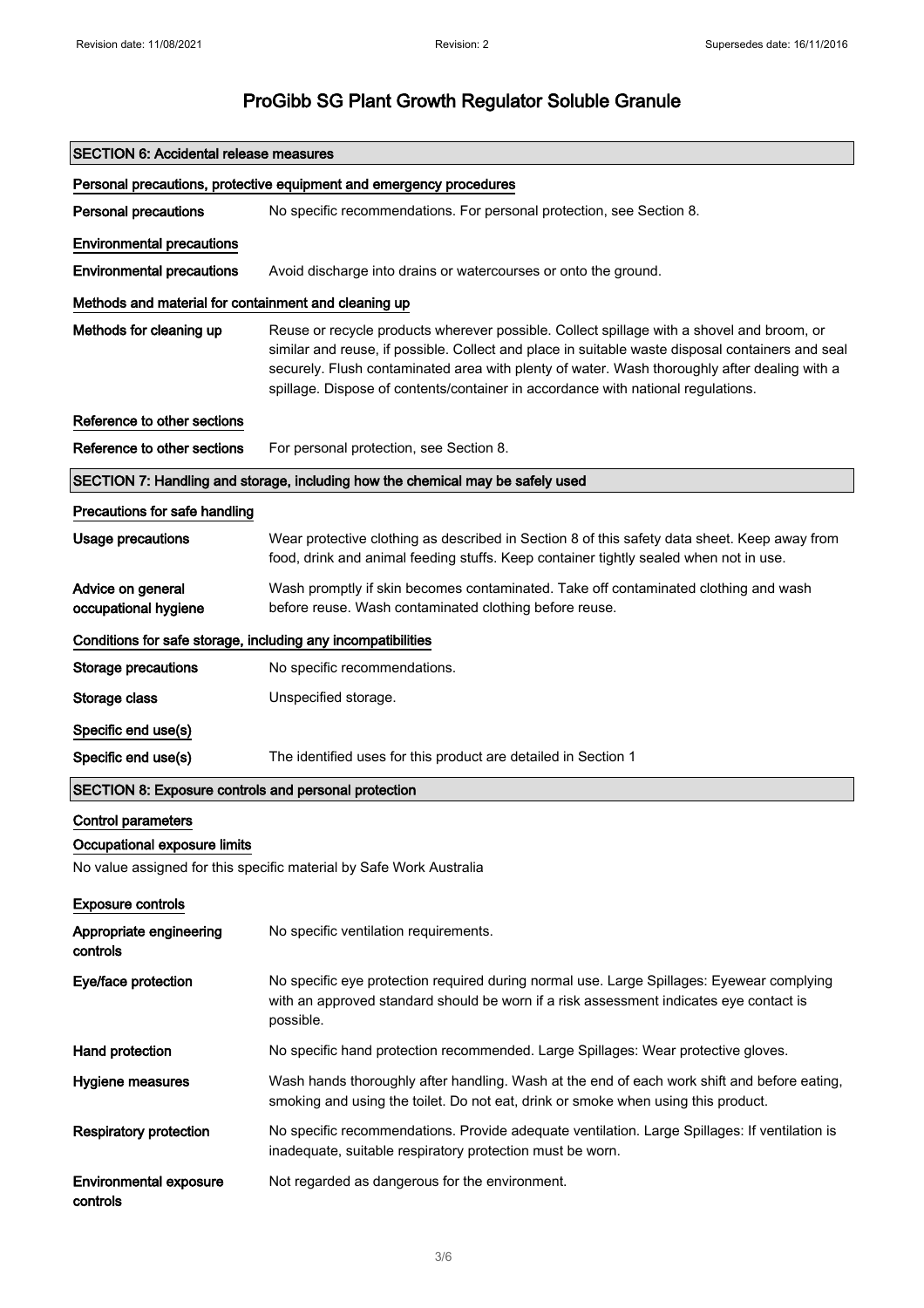| <b>SECTION 6: Accidental release measures</b>                       |                                                                                                                                                                                                                                                                                                                                                                                   |  |
|---------------------------------------------------------------------|-----------------------------------------------------------------------------------------------------------------------------------------------------------------------------------------------------------------------------------------------------------------------------------------------------------------------------------------------------------------------------------|--|
| Personal precautions, protective equipment and emergency procedures |                                                                                                                                                                                                                                                                                                                                                                                   |  |
| <b>Personal precautions</b>                                         | No specific recommendations. For personal protection, see Section 8.                                                                                                                                                                                                                                                                                                              |  |
| <b>Environmental precautions</b>                                    |                                                                                                                                                                                                                                                                                                                                                                                   |  |
| <b>Environmental precautions</b>                                    | Avoid discharge into drains or watercourses or onto the ground.                                                                                                                                                                                                                                                                                                                   |  |
| Methods and material for containment and cleaning up                |                                                                                                                                                                                                                                                                                                                                                                                   |  |
| Methods for cleaning up                                             | Reuse or recycle products wherever possible. Collect spillage with a shovel and broom, or<br>similar and reuse, if possible. Collect and place in suitable waste disposal containers and seal<br>securely. Flush contaminated area with plenty of water. Wash thoroughly after dealing with a<br>spillage. Dispose of contents/container in accordance with national regulations. |  |
| Reference to other sections                                         |                                                                                                                                                                                                                                                                                                                                                                                   |  |
| Reference to other sections                                         | For personal protection, see Section 8.                                                                                                                                                                                                                                                                                                                                           |  |
|                                                                     | SECTION 7: Handling and storage, including how the chemical may be safely used                                                                                                                                                                                                                                                                                                    |  |
| Precautions for safe handling                                       |                                                                                                                                                                                                                                                                                                                                                                                   |  |
| <b>Usage precautions</b>                                            | Wear protective clothing as described in Section 8 of this safety data sheet. Keep away from<br>food, drink and animal feeding stuffs. Keep container tightly sealed when not in use.                                                                                                                                                                                             |  |
| Advice on general<br>occupational hygiene                           | Wash promptly if skin becomes contaminated. Take off contaminated clothing and wash<br>before reuse. Wash contaminated clothing before reuse.                                                                                                                                                                                                                                     |  |
| Conditions for safe storage, including any incompatibilities        |                                                                                                                                                                                                                                                                                                                                                                                   |  |
| <b>Storage precautions</b>                                          | No specific recommendations.                                                                                                                                                                                                                                                                                                                                                      |  |
| Storage class                                                       | Unspecified storage.                                                                                                                                                                                                                                                                                                                                                              |  |
| Specific end use(s)                                                 |                                                                                                                                                                                                                                                                                                                                                                                   |  |
| Specific end use(s)                                                 | The identified uses for this product are detailed in Section 1                                                                                                                                                                                                                                                                                                                    |  |
| SECTION 8: Exposure controls and personal protection                |                                                                                                                                                                                                                                                                                                                                                                                   |  |
| <b>Control parameters</b><br>Occupational exposure limits           | No value assigned for this specific material by Safe Work Australia                                                                                                                                                                                                                                                                                                               |  |
| <b>Exposure controls</b>                                            |                                                                                                                                                                                                                                                                                                                                                                                   |  |
| Appropriate engineering<br>controls                                 | No specific ventilation requirements.                                                                                                                                                                                                                                                                                                                                             |  |
| Eye/face protection                                                 | No specific eye protection required during normal use. Large Spillages: Eyewear complying<br>with an approved standard should be worn if a risk assessment indicates eye contact is<br>possible.                                                                                                                                                                                  |  |
| Hand protection                                                     | No specific hand protection recommended. Large Spillages: Wear protective gloves.                                                                                                                                                                                                                                                                                                 |  |
| Hygiene measures                                                    | Wash hands thoroughly after handling. Wash at the end of each work shift and before eating,<br>smoking and using the toilet. Do not eat, drink or smoke when using this product.                                                                                                                                                                                                  |  |
| <b>Respiratory protection</b>                                       | No specific recommendations. Provide adequate ventilation. Large Spillages: If ventilation is<br>inadequate, suitable respiratory protection must be worn.                                                                                                                                                                                                                        |  |
| <b>Environmental exposure</b><br>controls                           | Not regarded as dangerous for the environment.                                                                                                                                                                                                                                                                                                                                    |  |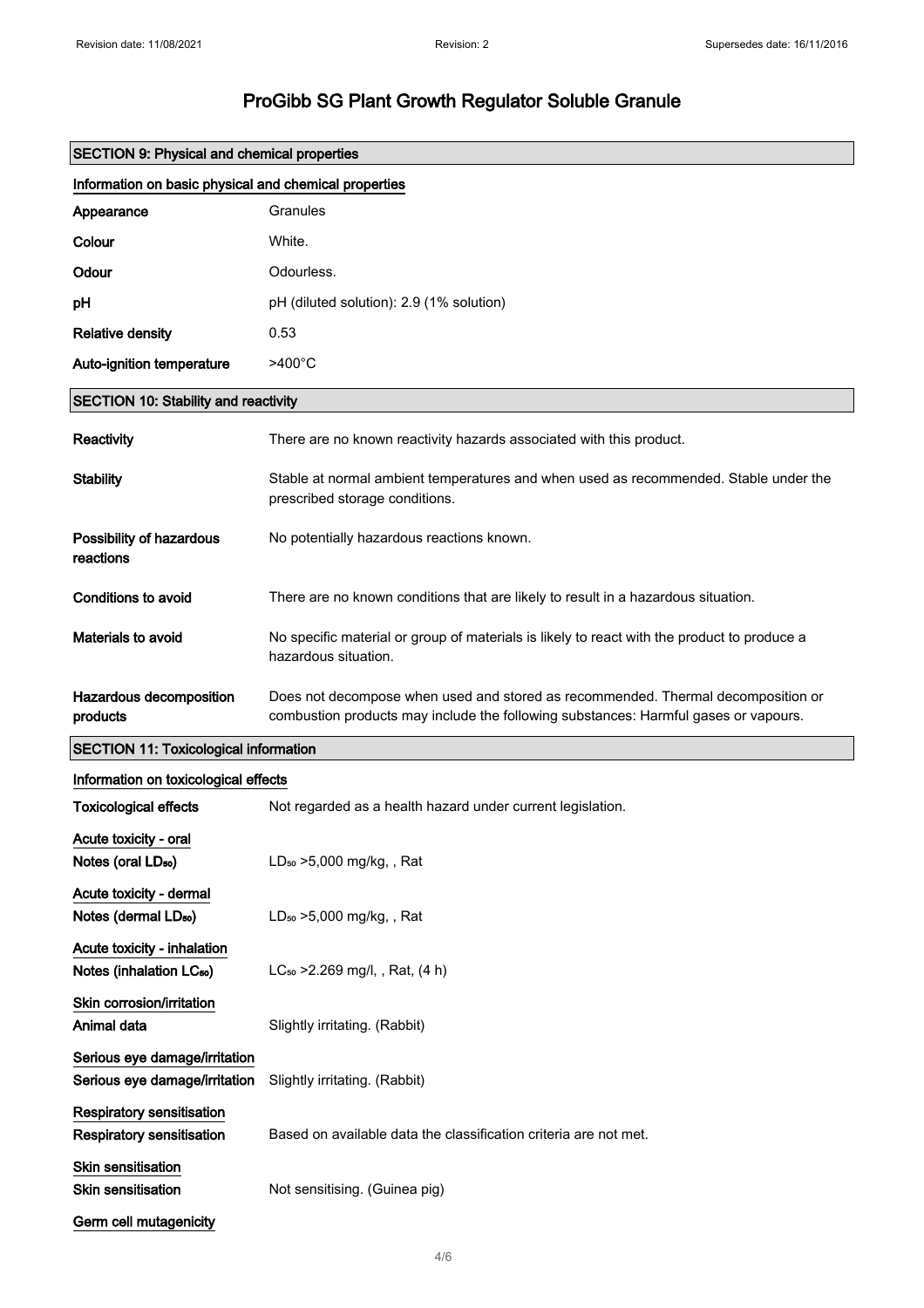|                                                                     | <b>SECTION 9: Physical and chemical properties</b>                                                                                                                      |  |  |
|---------------------------------------------------------------------|-------------------------------------------------------------------------------------------------------------------------------------------------------------------------|--|--|
| Information on basic physical and chemical properties               |                                                                                                                                                                         |  |  |
| Appearance                                                          | Granules                                                                                                                                                                |  |  |
| Colour                                                              | White.                                                                                                                                                                  |  |  |
| Odour                                                               | Odourless.                                                                                                                                                              |  |  |
| рH                                                                  | pH (diluted solution): 2.9 (1% solution)                                                                                                                                |  |  |
| <b>Relative density</b>                                             | 0.53                                                                                                                                                                    |  |  |
| Auto-ignition temperature                                           | $>400^{\circ}$ C                                                                                                                                                        |  |  |
| <b>SECTION 10: Stability and reactivity</b>                         |                                                                                                                                                                         |  |  |
| Reactivity                                                          | There are no known reactivity hazards associated with this product.                                                                                                     |  |  |
| <b>Stability</b>                                                    | Stable at normal ambient temperatures and when used as recommended. Stable under the<br>prescribed storage conditions.                                                  |  |  |
| Possibility of hazardous<br>reactions                               | No potentially hazardous reactions known.                                                                                                                               |  |  |
| <b>Conditions to avoid</b>                                          | There are no known conditions that are likely to result in a hazardous situation.                                                                                       |  |  |
| Materials to avoid                                                  | No specific material or group of materials is likely to react with the product to produce a<br>hazardous situation.                                                     |  |  |
| Hazardous decomposition<br>products                                 | Does not decompose when used and stored as recommended. Thermal decomposition or<br>combustion products may include the following substances: Harmful gases or vapours. |  |  |
| <b>SECTION 11: Toxicological information</b>                        |                                                                                                                                                                         |  |  |
| Information on toxicological effects                                |                                                                                                                                                                         |  |  |
| <b>Toxicological effects</b>                                        | Not regarded as a health hazard under current legislation.                                                                                                              |  |  |
| Acute toxicity - oral                                               |                                                                                                                                                                         |  |  |
| Notes (oral LD <sub>50</sub> )                                      | LD <sub>50</sub> > 5,000 mg/kg, , Rat                                                                                                                                   |  |  |
| Acute toxicity - dermal<br>Notes (dermal LD <sub>50</sub> )         | LD <sub>50</sub> > 5,000 mg/kg, , Rat                                                                                                                                   |  |  |
| Acute toxicity - inhalation<br>Notes (inhalation LC <sub>50</sub> ) | LC <sub>50</sub> > 2.269 mg/l, , Rat, (4 h)                                                                                                                             |  |  |
| Skin corrosion/irritation<br>Animal data                            | Slightly irritating. (Rabbit)                                                                                                                                           |  |  |
| Serious eye damage/irritation<br>Serious eye damage/irritation      | Slightly irritating. (Rabbit)                                                                                                                                           |  |  |
| Respiratory sensitisation<br>Respiratory sensitisation              | Based on available data the classification criteria are not met.                                                                                                        |  |  |
| Skin sensitisation<br>Skin sensitisation                            | Not sensitising. (Guinea pig)                                                                                                                                           |  |  |
| Germ cell mutagenicity                                              |                                                                                                                                                                         |  |  |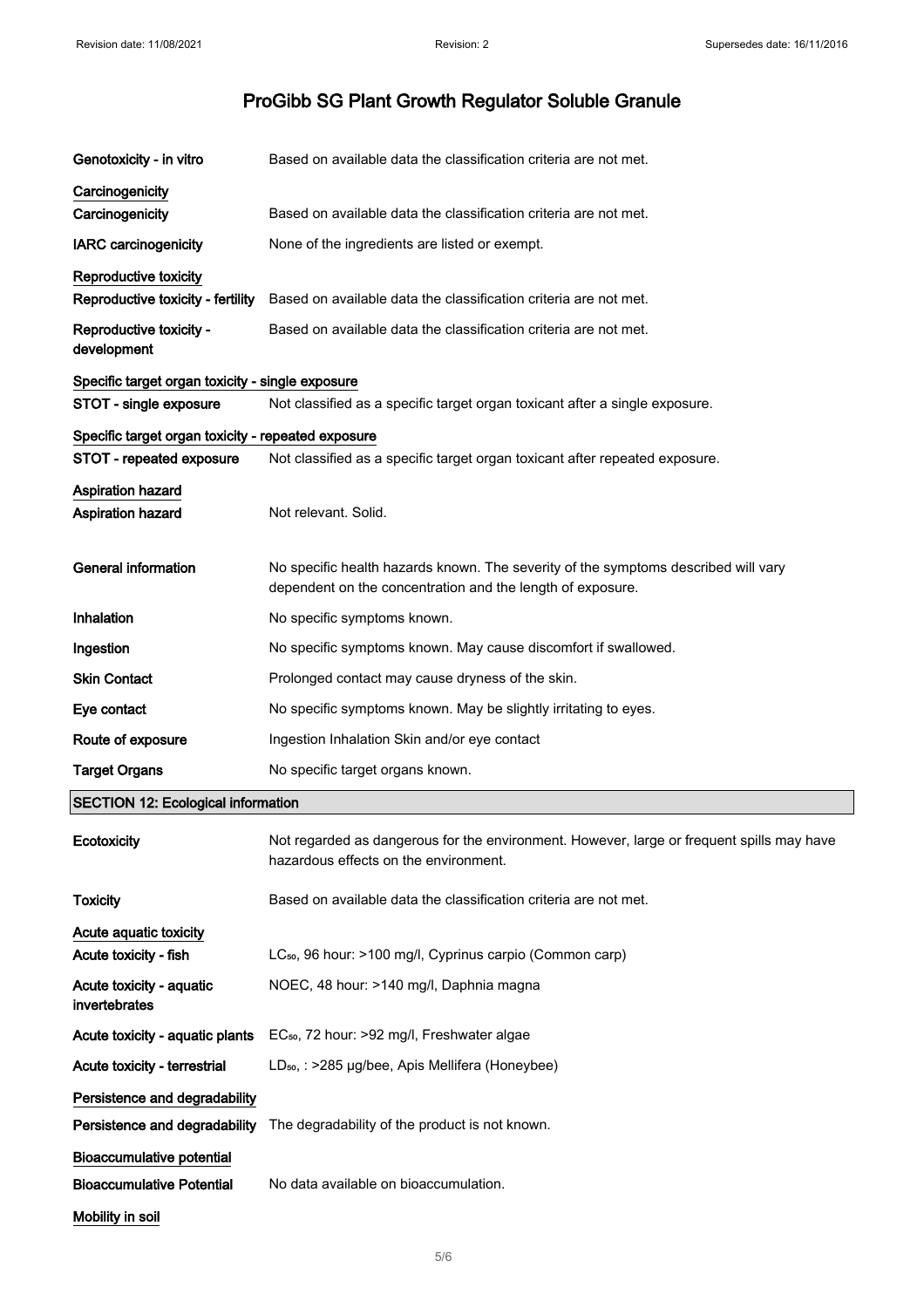| Genotoxicity - in vitro                            | Based on available data the classification criteria are not met.                                                                                 |
|----------------------------------------------------|--------------------------------------------------------------------------------------------------------------------------------------------------|
| Carcinogenicity                                    |                                                                                                                                                  |
| Carcinogenicity                                    | Based on available data the classification criteria are not met.                                                                                 |
| <b>IARC</b> carcinogenicity                        | None of the ingredients are listed or exempt.                                                                                                    |
| Reproductive toxicity                              |                                                                                                                                                  |
| Reproductive toxicity - fertility                  | Based on available data the classification criteria are not met.                                                                                 |
| Reproductive toxicity -<br>development             | Based on available data the classification criteria are not met.                                                                                 |
| Specific target organ toxicity - single exposure   |                                                                                                                                                  |
| STOT - single exposure                             | Not classified as a specific target organ toxicant after a single exposure.                                                                      |
| Specific target organ toxicity - repeated exposure |                                                                                                                                                  |
| STOT - repeated exposure                           | Not classified as a specific target organ toxicant after repeated exposure.                                                                      |
| <b>Aspiration hazard</b>                           |                                                                                                                                                  |
| Aspiration hazard                                  | Not relevant. Solid.                                                                                                                             |
| <b>General information</b>                         | No specific health hazards known. The severity of the symptoms described will vary<br>dependent on the concentration and the length of exposure. |
| Inhalation                                         | No specific symptoms known.                                                                                                                      |
| Ingestion                                          | No specific symptoms known. May cause discomfort if swallowed.                                                                                   |
| <b>Skin Contact</b>                                | Prolonged contact may cause dryness of the skin.                                                                                                 |
| Eye contact                                        | No specific symptoms known. May be slightly irritating to eyes.                                                                                  |
| Route of exposure                                  | Ingestion Inhalation Skin and/or eye contact                                                                                                     |
| <b>Target Organs</b>                               | No specific target organs known.                                                                                                                 |
| <b>SECTION 12: Ecological information</b>          |                                                                                                                                                  |
| Ecotoxicity                                        | Not regarded as dangerous for the environment. However, large or frequent spills may have<br>hazardous effects on the environment.               |
| <b>Toxicity</b>                                    | Based on available data the classification criteria are not met.                                                                                 |
| Acute aquatic toxicity                             |                                                                                                                                                  |
| Acute toxicity - fish                              | LC <sub>50</sub> , 96 hour: >100 mg/l, Cyprinus carpio (Common carp)                                                                             |
| Acute toxicity - aquatic<br>invertebrates          | NOEC, 48 hour: >140 mg/l, Daphnia magna                                                                                                          |
| Acute toxicity - aquatic plants                    | EC <sub>50</sub> , 72 hour: >92 mg/l, Freshwater algae                                                                                           |
| Acute toxicity - terrestrial                       | LD <sub>50</sub> , : >285 µg/bee, Apis Mellifera (Honeybee)                                                                                      |
| Persistence and degradability                      |                                                                                                                                                  |
| Persistence and degradability                      | The degradability of the product is not known.                                                                                                   |
| <b>Bioaccumulative potential</b>                   |                                                                                                                                                  |
| <b>Bioaccumulative Potential</b>                   | No data available on bioaccumulation.                                                                                                            |
| Mobility in soil                                   |                                                                                                                                                  |